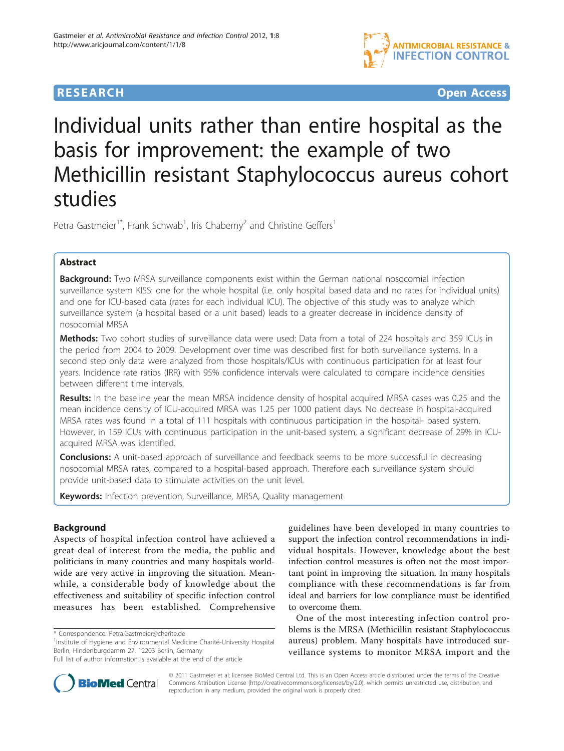## **RESEARCH CONTROL** CONTROL CONTROL CONTROL CONTROL CONTROL CONTROL CONTROL CONTROL CONTROL CONTROL CONTROL CONTROL



# Individual units rather than entire hospital as the basis for improvement: the example of two Methicillin resistant Staphylococcus aureus cohort studies

Petra Gastmeier<sup>1\*</sup>, Frank Schwab<sup>1</sup>, Iris Chaberny<sup>2</sup> and Christine Geffers<sup>1</sup>

## Abstract

**Background:** Two MRSA surveillance components exist within the German national nosocomial infection surveillance system KISS: one for the whole hospital (i.e. only hospital based data and no rates for individual units) and one for ICU-based data (rates for each individual ICU). The objective of this study was to analyze which surveillance system (a hospital based or a unit based) leads to a greater decrease in incidence density of nosocomial MRSA

Methods: Two cohort studies of surveillance data were used: Data from a total of 224 hospitals and 359 ICUs in the period from 2004 to 2009. Development over time was described first for both surveillance systems. In a second step only data were analyzed from those hospitals/ICUs with continuous participation for at least four years. Incidence rate ratios (IRR) with 95% confidence intervals were calculated to compare incidence densities between different time intervals.

Results: In the baseline year the mean MRSA incidence density of hospital acquired MRSA cases was 0.25 and the mean incidence density of ICU-acquired MRSA was 1.25 per 1000 patient days. No decrease in hospital-acquired MRSA rates was found in a total of 111 hospitals with continuous participation in the hospital- based system. However, in 159 ICUs with continuous participation in the unit-based system, a significant decrease of 29% in ICUacquired MRSA was identified.

**Conclusions:** A unit-based approach of surveillance and feedback seems to be more successful in decreasing nosocomial MRSA rates, compared to a hospital-based approach. Therefore each surveillance system should provide unit-based data to stimulate activities on the unit level.

Keywords: Infection prevention, Surveillance, MRSA, Quality management

## Background

Aspects of hospital infection control have achieved a great deal of interest from the media, the public and politicians in many countries and many hospitals worldwide are very active in improving the situation. Meanwhile, a considerable body of knowledge about the effectiveness and suitability of specific infection control measures has been established. Comprehensive guidelines have been developed in many countries to support the infection control recommendations in individual hospitals. However, knowledge about the best infection control measures is often not the most important point in improving the situation. In many hospitals compliance with these recommendations is far from ideal and barriers for low compliance must be identified to overcome them.

One of the most interesting infection control problems is the MRSA (Methicillin resistant Staphylococcus aureus) problem. Many hospitals have introduced surveillance systems to monitor MRSA import and the



© 2011 Gastmeier et al; licensee BioMed Central Ltd. This is an Open Access article distributed under the terms of the Creative Commons Attribution License [\(http://creativecommons.org/licenses/by/2.0](http://creativecommons.org/licenses/by/2.0)), which permits unrestricted use, distribution, and reproduction in any medium, provided the original work is properly cited.

<sup>\*</sup> Correspondence: [Petra.Gastmeier@charite.de](mailto:Petra.Gastmeier@charite.de)

<sup>&</sup>lt;sup>1</sup>Institute of Hygiene and Environmental Medicine Charité-University Hospital Berlin, Hindenburgdamm 27, 12203 Berlin, Germany

Full list of author information is available at the end of the article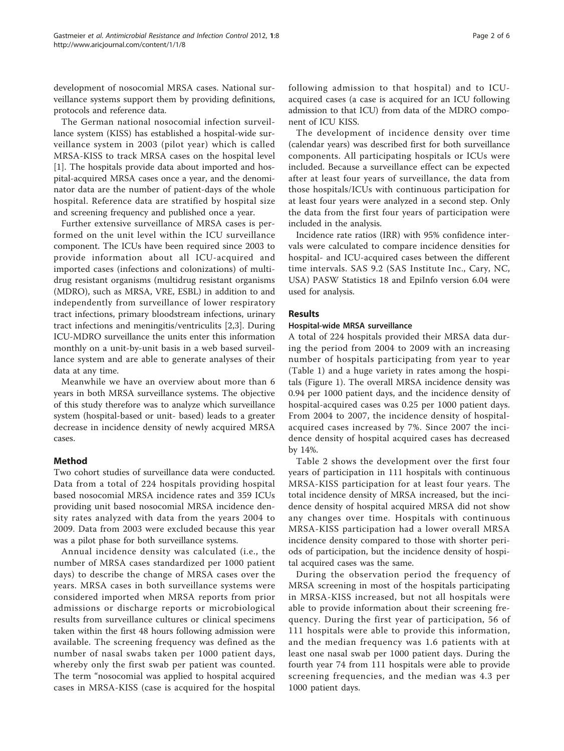development of nosocomial MRSA cases. National surveillance systems support them by providing definitions, protocols and reference data.

The German national nosocomial infection surveillance system (KISS) has established a hospital-wide surveillance system in 2003 (pilot year) which is called MRSA-KISS to track MRSA cases on the hospital level [[1\]](#page-4-0). The hospitals provide data about imported and hospital-acquired MRSA cases once a year, and the denominator data are the number of patient-days of the whole hospital. Reference data are stratified by hospital size and screening frequency and published once a year.

Further extensive surveillance of MRSA cases is performed on the unit level within the ICU surveillance component. The ICUs have been required since 2003 to provide information about all ICU-acquired and imported cases (infections and colonizations) of multidrug resistant organisms (multidrug resistant organisms (MDRO), such as MRSA, VRE, ESBL) in addition to and independently from surveillance of lower respiratory tract infections, primary bloodstream infections, urinary tract infections and meningitis/ventriculits [[2,3\]](#page-4-0). During ICU-MDRO surveillance the units enter this information monthly on a unit-by-unit basis in a web based surveillance system and are able to generate analyses of their data at any time.

Meanwhile we have an overview about more than 6 years in both MRSA surveillance systems. The objective of this study therefore was to analyze which surveillance system (hospital-based or unit- based) leads to a greater decrease in incidence density of newly acquired MRSA cases.

## Method

Two cohort studies of surveillance data were conducted. Data from a total of 224 hospitals providing hospital based nosocomial MRSA incidence rates and 359 ICUs providing unit based nosocomial MRSA incidence density rates analyzed with data from the years 2004 to 2009. Data from 2003 were excluded because this year was a pilot phase for both surveillance systems.

Annual incidence density was calculated (i.e., the number of MRSA cases standardized per 1000 patient days) to describe the change of MRSA cases over the years. MRSA cases in both surveillance systems were considered imported when MRSA reports from prior admissions or discharge reports or microbiological results from surveillance cultures or clinical specimens taken within the first 48 hours following admission were available. The screening frequency was defined as the number of nasal swabs taken per 1000 patient days, whereby only the first swab per patient was counted. The term "nosocomial was applied to hospital acquired cases in MRSA-KISS (case is acquired for the hospital following admission to that hospital) and to ICUacquired cases (a case is acquired for an ICU following admission to that ICU) from data of the MDRO component of ICU KISS.

The development of incidence density over time (calendar years) was described first for both surveillance components. All participating hospitals or ICUs were included. Because a surveillance effect can be expected after at least four years of surveillance, the data from those hospitals/ICUs with continuous participation for at least four years were analyzed in a second step. Only the data from the first four years of participation were included in the analysis.

Incidence rate ratios (IRR) with 95% confidence intervals were calculated to compare incidence densities for hospital- and ICU-acquired cases between the different time intervals. SAS 9.2 (SAS Institute Inc., Cary, NC, USA) PASW Statistics 18 and EpiInfo version 6.04 were used for analysis.

## Results

## Hospital-wide MRSA surveillance

A total of 224 hospitals provided their MRSA data during the period from 2004 to 2009 with an increasing number of hospitals participating from year to year (Table [1](#page-2-0)) and a huge variety in rates among the hospitals (Figure [1](#page-2-0)). The overall MRSA incidence density was 0.94 per 1000 patient days, and the incidence density of hospital-acquired cases was 0.25 per 1000 patient days. From 2004 to 2007, the incidence density of hospitalacquired cases increased by 7%. Since 2007 the incidence density of hospital acquired cases has decreased by 14%.

Table [2](#page-3-0) shows the development over the first four years of participation in 111 hospitals with continuous MRSA-KISS participation for at least four years. The total incidence density of MRSA increased, but the incidence density of hospital acquired MRSA did not show any changes over time. Hospitals with continuous MRSA-KISS participation had a lower overall MRSA incidence density compared to those with shorter periods of participation, but the incidence density of hospital acquired cases was the same.

During the observation period the frequency of MRSA screening in most of the hospitals participating in MRSA-KISS increased, but not all hospitals were able to provide information about their screening frequency. During the first year of participation, 56 of 111 hospitals were able to provide this information, and the median frequency was 1.6 patients with at least one nasal swab per 1000 patient days. During the fourth year 74 from 111 hospitals were able to provide screening frequencies, and the median was 4.3 per 1000 patient days.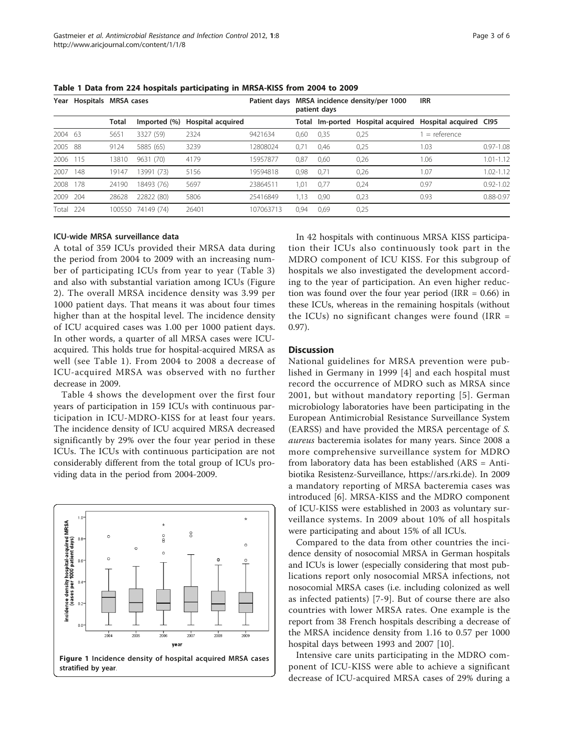|           | Year Hospitals MRSA cases |       |                   |                   | Patient days |      | patient days | MRSA incidence density/per 1000 | <b>IRR</b>                                               |               |
|-----------|---------------------------|-------|-------------------|-------------------|--------------|------|--------------|---------------------------------|----------------------------------------------------------|---------------|
|           |                           | Total | Imported (%)      | Hospital acquired |              |      |              |                                 | Total Im-ported Hospital acquired Hospital acquired CI95 |               |
| 2004 63   |                           | 5651  | 3327 (59)         | 2324              | 9421634      | 0.60 | 0,35         | 0,25                            | $=$ reference                                            |               |
| 2005 88   |                           | 9124  | 5885 (65)         | 3239              | 2808024      | 0.71 | 0,46         | 0,25                            | 1.03                                                     | $0.97 - 1.08$ |
| 2006 115  |                           | 13810 | 9631 (70)         | 4179              | 15957877     | 0.87 | 0,60         | 0,26                            | 1.06                                                     | $1.01 - 1.12$ |
| 2007      | 148                       | 19147 | 13991 (73)        | 5156              | 19594818     | 0.98 | 0,71         | 0,26                            | 1.07                                                     | $1.02 - 1.12$ |
| 2008      | 178                       | 24190 | 18493 (76)        | 5697              | 23864511     | 1.01 | 0,77         | 0,24                            | 0.97                                                     | $0.92 - 1.02$ |
| 2009 204  |                           | 28628 | 22822 (80)        | 5806              | 25416849     | 1.13 | 0,90         | 0,23                            | 0.93                                                     | $0.88 - 0.97$ |
| Total 224 |                           |       | 100550 74149 (74) | 26401             | 107063713    | 0.94 | 0,69         | 0,25                            |                                                          |               |

<span id="page-2-0"></span>Table 1 Data from 224 hospitals participating in MRSA-KISS from 2004 to 2009

#### ICU-wide MRSA surveillance data

A total of 359 ICUs provided their MRSA data during the period from 2004 to 2009 with an increasing number of participating ICUs from year to year (Table [3](#page-3-0)) and also with substantial variation among ICUs (Figure [2\)](#page-4-0). The overall MRSA incidence density was 3.99 per 1000 patient days. That means it was about four times higher than at the hospital level. The incidence density of ICU acquired cases was 1.00 per 1000 patient days. In other words, a quarter of all MRSA cases were ICUacquired. This holds true for hospital-acquired MRSA as well (see Table 1). From 2004 to 2008 a decrease of ICU-acquired MRSA was observed with no further decrease in 2009.

Table [4](#page-4-0) shows the development over the first four years of participation in 159 ICUs with continuous participation in ICU-MDRO-KISS for at least four years. The incidence density of ICU acquired MRSA decreased significantly by 29% over the four year period in these ICUs. The ICUs with continuous participation are not considerably different from the total group of ICUs providing data in the period from 2004-2009.



In 42 hospitals with continuous MRSA KISS participation their ICUs also continuously took part in the MDRO component of ICU KISS. For this subgroup of hospitals we also investigated the development according to the year of participation. An even higher reduction was found over the four year period (IRR  $= 0.66$ ) in these ICUs, whereas in the remaining hospitals (without the ICUs) no significant changes were found (IRR  $=$ 0.97).

## **Discussion**

National guidelines for MRSA prevention were published in Germany in 1999 [[4\]](#page-4-0) and each hospital must record the occurrence of MDRO such as MRSA since 2001, but without mandatory reporting [[5\]](#page-4-0). German microbiology laboratories have been participating in the European Antimicrobial Resistance Surveillance System (EARSS) and have provided the MRSA percentage of S. aureus bacteremia isolates for many years. Since 2008 a more comprehensive surveillance system for MDRO from laboratory data has been established (ARS = Antibiotika Resistenz-Surveillance,<https://ars.rki.de>). In 2009 a mandatory reporting of MRSA bacteremia cases was introduced [\[6\]](#page-4-0). MRSA-KISS and the MDRO component of ICU-KISS were established in 2003 as voluntary surveillance systems. In 2009 about 10% of all hospitals were participating and about 15% of all ICUs.

Compared to the data from other countries the incidence density of nosocomial MRSA in German hospitals and ICUs is lower (especially considering that most publications report only nosocomial MRSA infections, not nosocomial MRSA cases (i.e. including colonized as well as infected patients) [[7-9\]](#page-4-0). But of course there are also countries with lower MRSA rates. One example is the report from 38 French hospitals describing a decrease of the MRSA incidence density from 1.16 to 0.57 per 1000 hospital days between 1993 and 2007 [[10](#page-5-0)].

Intensive care units participating in the MDRO component of ICU-KISS were able to achieve a significant decrease of ICU-acquired MRSA cases of 29% during a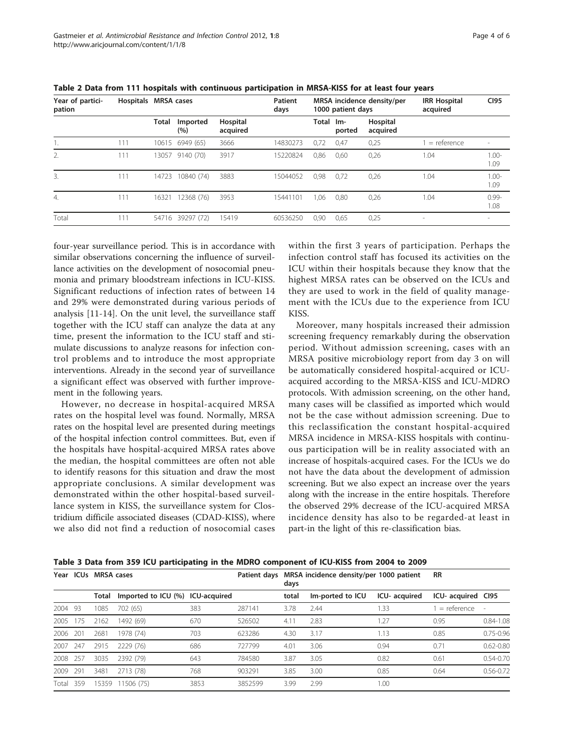| Year of partici-<br>pation | <b>Hospitals</b> | <b>MRSA</b> cases |                 |                      | <b>Patient</b><br>days | MRSA incidence density/per<br>1000 patient days |                 |                      | <b>IRR Hospital</b><br>acquired | <b>CI95</b>              |
|----------------------------|------------------|-------------------|-----------------|----------------------|------------------------|-------------------------------------------------|-----------------|----------------------|---------------------------------|--------------------------|
|                            |                  | Total             | Imported<br>(%) | Hospital<br>acquired |                        | Total                                           | $Im-$<br>ported | Hospital<br>acquired |                                 |                          |
|                            | 111              |                   | 10615 6949 (65) | 3666                 | 14830273               | 0.72                                            | 0.47            | 0,25                 | $=$ reference                   | $\overline{\phantom{0}}$ |
| 2.                         | 111              | 13057             | 9140 (70)       | 3917                 | 15220824               | 0,86                                            | 0,60            | 0,26                 | 1.04                            | $1.00 -$<br>1.09         |
| 3.                         | 111              | 14723             | 10840 (74)      | 3883                 | 15044052               | 0,98                                            | 0,72            | 0,26                 | 1.04                            | $1.00 -$<br>1.09         |
| 4.                         | 111              | 16321             | 12368 (76)      | 3953                 | 15441101               | 1,06                                            | 0,80            | 0,26                 | 1.04                            | $0.99 -$<br>1.08         |
| Total                      | 111              | 54716             | 39297 (72)      | 15419                | 60536250               | 0.90                                            | 0,65            | 0,25                 | $\overline{\phantom{a}}$        | $\overline{\phantom{a}}$ |

<span id="page-3-0"></span>Table 2 Data from 111 hospitals with continuous participation in MRSA-KISS for at least four years

four-year surveillance period. This is in accordance with similar observations concerning the influence of surveillance activities on the development of nosocomial pneumonia and primary bloodstream infections in ICU-KISS. Significant reductions of infection rates of between 14 and 29% were demonstrated during various periods of analysis [[11-14\]](#page-5-0). On the unit level, the surveillance staff together with the ICU staff can analyze the data at any time, present the information to the ICU staff and stimulate discussions to analyze reasons for infection control problems and to introduce the most appropriate interventions. Already in the second year of surveillance a significant effect was observed with further improvement in the following years.

However, no decrease in hospital-acquired MRSA rates on the hospital level was found. Normally, MRSA rates on the hospital level are presented during meetings of the hospital infection control committees. But, even if the hospitals have hospital-acquired MRSA rates above the median, the hospital committees are often not able to identify reasons for this situation and draw the most appropriate conclusions. A similar development was demonstrated within the other hospital-based surveillance system in KISS, the surveillance system for Clostridium difficile associated diseases (CDAD-KISS), where we also did not find a reduction of nosocomial cases

within the first 3 years of participation. Perhaps the infection control staff has focused its activities on the ICU within their hospitals because they know that the highest MRSA rates can be observed on the ICUs and they are used to work in the field of quality management with the ICUs due to the experience from ICU KISS.

Moreover, many hospitals increased their admission screening frequency remarkably during the observation period. Without admission screening, cases with an MRSA positive microbiology report from day 3 on will be automatically considered hospital-acquired or ICUacquired according to the MRSA-KISS and ICU-MDRO protocols. With admission screening, on the other hand, many cases will be classified as imported which would not be the case without admission screening. Due to this reclassification the constant hospital-acquired MRSA incidence in MRSA-KISS hospitals with continuous participation will be in reality associated with an increase of hospitals-acquired cases. For the ICUs we do not have the data about the development of admission screening. But we also expect an increase over the years along with the increase in the entire hospitals. Therefore the observed 29% decrease of the ICU-acquired MRSA incidence density has also to be regarded-at least in part-in the light of this re-classification bias.

Table 3 Data from 359 ICU participating in the MDRO component of ICU-KISS from 2004 to 2009

|           |     | Year ICUs MRSA cases |                                  |      |         | days  | Patient days MRSA incidence density/per 1000 patient | <b>RR</b>     |                    |               |
|-----------|-----|----------------------|----------------------------------|------|---------|-------|------------------------------------------------------|---------------|--------------------|---------------|
|           |     | Total                | Imported to ICU (%) ICU-acquired |      |         | total | Im-ported to ICU                                     | ICU- acquired | ICU- acquired CI95 |               |
| 2004 93   |     | 1085                 | 702 (65)                         | 383  | 287141  | 3.78  | 2.44                                                 | 1.33          | $=$ reference      |               |
| 2005      | 175 | 2162                 | 1492 (69)                        | 670  | 526502  | 4.11  | 2.83                                                 | 1.27          | 0.95               | $0.84 - 1.08$ |
| 2006 201  |     | 2681                 | 1978 (74)                        | 703  | 623286  | 4.30  | 3.17                                                 | 1.13          | 0.85               | $0.75 - 0.96$ |
| 2007 247  |     | 2915                 | 2229 (76)                        | 686  | 727799  | 4.01  | 3.06                                                 | 0.94          | 0.71               | $0.62 - 0.80$ |
| 2008 257  |     | 3035                 | 2392 (79)                        | 643  | 784580  | 3.87  | 3.05                                                 | 0.82          | 0.61               | $0.54 - 0.70$ |
| 2009 291  |     | 3481                 | 2713 (78)                        | 768  | 903291  | 3.85  | 3.00                                                 | 0.85          | 0.64               | $0.56 - 0.72$ |
| Total 359 |     |                      | 15359 11506 (75)                 | 3853 | 3852599 | 3.99  | 2.99                                                 | 1.00          |                    |               |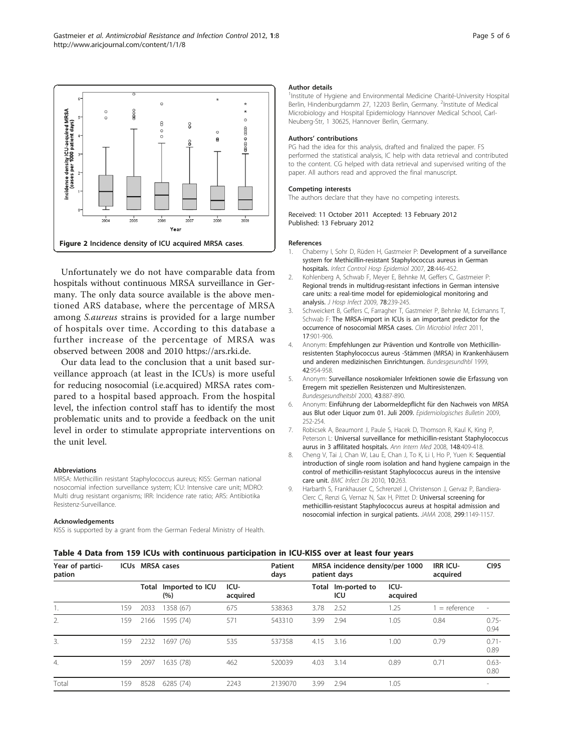Unfortunately we do not have comparable data from hospitals without continuous MRSA surveillance in Germany. The only data source available is the above mentioned ARS database, where the percentage of MRSA among S.aureus strains is provided for a large number of hospitals over time. According to this database a further increase of the percentage of MRSA was observed between 2008 and 2010 [https://ars.rki.de.](https://ars.rki.de)

Figure 2 Incidence density of ICU acquired MRSA cases.

 $\frac{1}{200}$ 

 $\frac{1}{2005}$ 

Our data lead to the conclusion that a unit based surveillance approach (at least in the ICUs) is more useful for reducing nosocomial (i.e.acquired) MRSA rates compared to a hospital based approach. From the hospital level, the infection control staff has to identify the most problematic units and to provide a feedback on the unit level in order to stimulate appropriate interventions on the unit level.

#### Abbreviations

ncidence density ICU-acquired MRSA<br>(cases per 1000 patient days)

 $\circ$ 

MRSA: Methicillin resistant Staphylococcus aureus; KISS: German national nosocomial infection surveillance system; ICU: Intensive care unit; MDRO: Multi drug resistant organisms; IRR: Incidence rate ratio; ARS: Antibiotika Resistenz-Surveillance.

#### Acknowledgements

KISS is supported by a grant from the German Federal Ministry of Health.

#### Author details

 $\circ$ 

<sup>1</sup>Institute of Hygiene and Environmental Medicine Charité-University Hospital Berlin, Hindenburgdamm 27, 12203 Berlin, Germany. <sup>2</sup>Institute of Medical Microbiology and Hospital Epidemiology Hannover Medical School, Carl-Neuberg-Str, 1 30625, Hannover Berlin, Germany.

#### Authors' contributions

PG had the idea for this analysis, drafted and finalized the paper. FS performed the statistical analysis, IC help with data retrieval and contributed to the content. CG helped with data retrieval and supervised writing of the paper. All authors read and approved the final manuscript.

#### Competing interests

The authors declare that they have no competing interests.

Received: 11 October 2011 Accepted: 13 February 2012 Published: 13 February 2012

#### References

- 1. Chaberny I, Sohr D, Rüden H, Gastmeier P: [Development of a surveillance](http://www.ncbi.nlm.nih.gov/pubmed/17385151?dopt=Abstract) [system for Methicillin-resistant Staphylococcus aureus in German](http://www.ncbi.nlm.nih.gov/pubmed/17385151?dopt=Abstract) [hospitals.](http://www.ncbi.nlm.nih.gov/pubmed/17385151?dopt=Abstract) Infect Control Hosp Epidemiol 2007, 28:446-452.
- 2. Kohlenberg A, Schwab F, Meyer E, Behnke M, Geffers C, Gastmeier P: Regional trends in multidrug-resistant infections in German intensive care units: a real-time model for epidemiological monitoring and analysis. J Hosp Infect 2009, 78:239-245.
- 3. Schweickert B, Geffers C, Farragher T, Gastmeier P, Behnke M, Eckmanns T, Schwab F: [The MRSA-import in ICUs is an important predictor for the](http://www.ncbi.nlm.nih.gov/pubmed/20977541?dopt=Abstract) [occurrence of nosocomial MRSA cases.](http://www.ncbi.nlm.nih.gov/pubmed/20977541?dopt=Abstract) Clin Microbiol Infect 2011, 17:901-906.
- 4. Anonym: Empfehlungen zur Prävention und Kontrolle von Methicillinresistenten Staphylococcus aureus -Stämmen (MRSA) in Krankenhäusern und anderen medizinischen Einrichtungen. Bundesgesundhbl 1999, 42:954-958.
- 5. Anonym: Surveillance nosokomialer Infektionen sowie die Erfassung von Erregern mit speziellen Resistenzen und Multiresistenzen. Bundesgesundheitsbl 2000, 43:887-890.
- 6. Anonym: Einführung der Labormeldepflicht für den Nachweis von MRSA aus Blut oder Liquor zum 01. Juli 2009. Epidemiologisches Bulletin 2009, 252-254.
- 7. Robicsek A, Beaumont J, Paule S, Hacek D, Thomson R, Kaul K, King P, Peterson L: [Universal surveillance for methicillin-resistant Staphylococcus](http://www.ncbi.nlm.nih.gov/pubmed/18347349?dopt=Abstract) [aurus in 3 affilitated hospitals.](http://www.ncbi.nlm.nih.gov/pubmed/18347349?dopt=Abstract) Ann Intern Med 2008, 148:409-418.
- 8. Cheng V, Tai J, Chan W, Lau E, Chan J, To K, Li I, Ho P, Yuen K: [Sequential](http://www.ncbi.nlm.nih.gov/pubmed/20822509?dopt=Abstract) [introduction of single room isolation and hand hygiene campaign in the](http://www.ncbi.nlm.nih.gov/pubmed/20822509?dopt=Abstract) [control of methicillin-resistant Staphylococcus aureus in the intensive](http://www.ncbi.nlm.nih.gov/pubmed/20822509?dopt=Abstract) [care unit.](http://www.ncbi.nlm.nih.gov/pubmed/20822509?dopt=Abstract) BMC Infect Dis 2010, 10:263.
- 9. Harbarth S, Frankhauser C, Schrenzel J, Christenson J, Gervaz P, Bandiera-Clerc C, Renzi G, Vernaz N, Sax H, Pittet D: [Universal screening for](http://www.ncbi.nlm.nih.gov/pubmed/18334690?dopt=Abstract) [methicillin-resistant Staphylococcus aureus at hospital admission and](http://www.ncbi.nlm.nih.gov/pubmed/18334690?dopt=Abstract) [nosocomial infection in surgical patients.](http://www.ncbi.nlm.nih.gov/pubmed/18334690?dopt=Abstract) JAMA 2008, 299:1149-1157.

| Year of partici-<br>pation |     | <b>ICUs</b> MRSA cases |                              |                  | <b>Patient</b><br>days | MRSA incidence density/per 1000<br>patient days |                           |                  | <b>IRR ICU-</b><br>acquired | <b>CI95</b>              |
|----------------------------|-----|------------------------|------------------------------|------------------|------------------------|-------------------------------------------------|---------------------------|------------------|-----------------------------|--------------------------|
|                            |     |                        | Total Imported to ICU<br>(%) | ICU-<br>acquired |                        |                                                 | Total Im-ported to<br>ICU | ICU-<br>acquired |                             |                          |
| ι.                         | 159 | 2033                   | 1358 (67)                    | 675              | 538363                 | 3.78                                            | 2.52                      | 1.25             | $=$ reference               | $\overline{a}$           |
| 2.                         | 159 | 2166                   | 1595 (74)                    | 571              | 543310                 | 3.99                                            | 2.94                      | 1.05             | 0.84                        | $0.75 -$<br>0.94         |
| 3.                         | 159 | 2232                   | 1697 (76)                    | 535              | 537358                 | 4.15                                            | 3.16                      | 1.00             | 0.79                        | $0.71 -$<br>0.89         |
| 4.                         | 159 | 2097                   | 1635 (78)                    | 462              | 520039                 | 4.03                                            | 3.14                      | 0.89             | 0.71                        | $0.63 -$<br>0.80         |
| Total                      | 159 | 8528                   | 6285 (74)                    | 2243             | 2139070                | 3.99                                            | 2.94                      | 1.05             |                             | $\overline{\phantom{a}}$ |

<span id="page-4-0"></span>

 $\circ$ 

 $\mathbf{a}$ 

 $\circ$ 

 $\frac{8}{2}$ 

 $\Omega$ 

긂 Vest

 $\overline{c}$ 

 $\Omega$